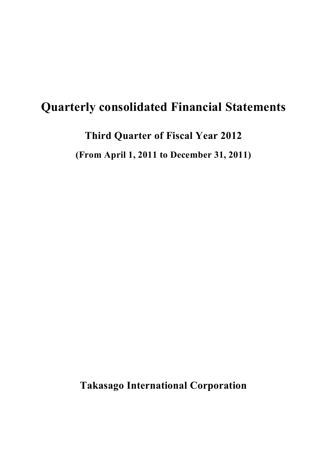# **Quarterly consolidated Financial Statements**

**Third Quarter of Fiscal Year 2012**

**(From April 1, 2011 to December 31, 2011)**

**Takasago International Corporation**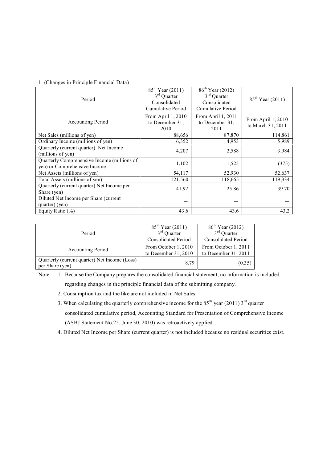#### 1. (Changes in Principle Financial Data)

| Period                                                                      | $85^{th}$ Year (2011)<br>$3rd$ Quarter<br>Consolidated<br>Cumulative Period | $86^{\text{th}}$ Year (2012)<br>$3rd$ Quarter<br>Consolidated<br>Cumulative Period | $85^{th}$ Year (2011)                   |
|-----------------------------------------------------------------------------|-----------------------------------------------------------------------------|------------------------------------------------------------------------------------|-----------------------------------------|
| <b>Accounting Period</b>                                                    | From April 1, 2010<br>to December 31,<br>2010                               | From April 1, 2011<br>to December 31,<br>2011                                      | From April 1, 2010<br>to March 31, 2011 |
| Net Sales (millions of yen)                                                 | 88,656                                                                      | 87,870                                                                             | 114,861                                 |
| Ordinary Income (millions of yen)                                           | 6,352                                                                       | 4,953                                                                              | 5,989                                   |
| Quarterly (current quarter) Net Income<br>(millions of yen)                 | 4,207                                                                       | 2,588                                                                              | 3,984                                   |
| Quarterly Comprehensive Income (millions of<br>yen) or Comprehensive Income | 1,102                                                                       | 1,525                                                                              | (375)                                   |
| Net Assets (millions of yen)                                                | 54,117                                                                      | 52,930                                                                             | 52,637                                  |
| Total Assets (millions of yen)                                              | 121,560                                                                     | 118,665                                                                            | 119,334                                 |
| Quarterly (current quarter) Net Income per<br>Share (yen)                   | 41.92                                                                       | 25.86                                                                              | 39.70                                   |
| Diluted Net Income per Share (current<br>quarter) (yen)                     |                                                                             |                                                                                    |                                         |
| Equity Ratio $(\% )$                                                        | 43.6                                                                        | 43.6                                                                               | 43.2                                    |

| Period                                                           | $85^{th}$ Year (2011)<br>$3rd$ Quarter       | $86^{\text{th}}$ Year (2012)<br>$3rd$ Quarter |  |
|------------------------------------------------------------------|----------------------------------------------|-----------------------------------------------|--|
|                                                                  | <b>Consolidated Period</b>                   | <b>Consolidated Period</b>                    |  |
| <b>Accounting Period</b>                                         | From October 1, 2010<br>to December 31, 2010 | From October 1, 2011<br>to December 31, 2011  |  |
| Quarterly (current quarter) Net Income (Loss)<br>per Share (yen) | 8.79                                         | (0.35)                                        |  |

Note: 1. Because the Company prepares the consolidated financial statement, no information is included regarding changes in the principle financial data of the submitting company.

- 2. Consumption tax and the like are not included in Net Sales.
- 3. When calculating the quarterly comprehensive income for the  $85<sup>th</sup>$  year (2011)  $3<sup>rd</sup>$  quarter consolidated cumulative period, Accounting Standard for Presentation of Comprehensive Income (ASBJ Statement No.25, June 30, 2010) was retroactively applied.
- 4. Diluted Net Income per Share (current quarter) is not included because no residual securities exist.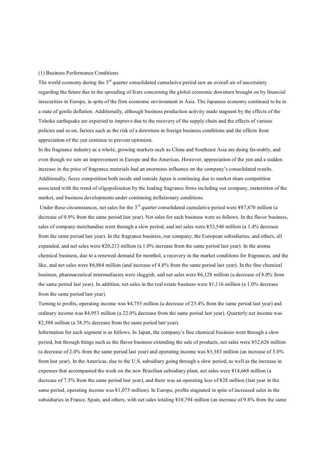#### (1) Business Performance Conditions

The world economy during the  $3<sup>rd</sup>$  quarter consolidated cumulative period saw an overall air of uncertainty regarding the future due to the spreading of fears concerning the global economic downturn brought on by financial insecurities in Europe, in spite of the firm economic environment in Asia. The Japanese economy continued to be in a state of gentle deflation. Additionally, although business production activity made stagnant by the effects of the Tohoku earthquake are expected to improve due to the recovery of the supply chain and the effects of various policies and so on, factors such as the risk of a downturn in foreign business conditions and the effects from appreciation of the yen continue to prevent optimism.

In the fragrance industry as a whole, growing markets such as China and Southeast Asia are doing favorably, and even though we saw an improvement in Europe and the Americas. However, appreciation of the yen and a sudden increase in the price of fragrance materials had an enormous influence on the company's consolidated results. Additionally, fierce competition both inside and outside Japan is continuing due to market share competition associated with the trend of oligopolization by the leading fragrance firms including our company, maturation of the market, and business developments under continuing deflationary conditions.

Under these circumstances, net sales for the 3<sup>rd</sup> quarter consolidated cumulative period were ¥87,870 million (a decrease of 0.9% from the same period last year). Net sales for each business were as follows. In the flavor business, sales of company merchandise went through a slow period, and net sales were ¥53,546 million (a 1.4% decrease from the same period last year). In the fragrance business, our company, the European subsidiaries, and others, all expanded, and net sales were ¥20,213 million (a 1.0% increase from the same period last year). In the aroma chemical business, due to a renewed demand for menthol, a recovery in the market conditions for fragrances, and the like, and net sales were ¥6,864 million (and increase of 4.8% from the same period last year). In the fine chemical business, pharmaceutical intermediaries were sluggish, and net sales were ¥6,128 million (a decrease of 8.0% from the same period last year). In addition, net sales in the real estate business were ¥1,116 million (a 1.0% decrease from the same period last year).

Turning to profits, operating income was ¥4,755 million (a decrease of 25.4% from the same period last year) and ordinary income was ¥4,953 million (a 22.0% decrease from the same period last year). Quarterly net income was ¥2,588 million (a 38.5% decrease from the same period last year).

Information for each segment is as follows. In Japan, the company's fine chemical business went through a slow period, but through things such as the flavor business extending the sale of products, net sales were ¥52,626 million (a decrease of 2.0% from the same period last year) and operating income was ¥3,383 million (an increase of 3.0% from last year). In the Americas, due to the U.S. subsidiary going through a slow period, as well as the increase in expenses that accompanied the work on the new Brazilian subsidiary plant, net sales were ¥14,668 million (a decrease of 7.5% from the same period last year), and there was an operating loss of ¥28 million (last year in the same period, operating income was ¥1,075 million). In Europe, profits stagnated in spite of increased sales in the subsidiaries in France, Spain, and others, with net sales totaling  $\frac{10,794}{10,794}$  million (an increase of 9.8% from the same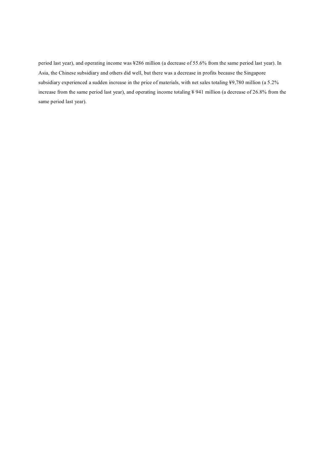period last year), and operating income was ¥286 million (a decrease of 55.6% from the same period last year). In Asia, the Chinese subsidiary and others did well, but there was a decrease in profits because the Singapore subsidiary experienced a sudden increase in the price of materials, with net sales totaling ¥9,780 million (a 5.2% increase from the same period last year), and operating income totaling ¥ 941 million (a decrease of 26.8% from the same period last year).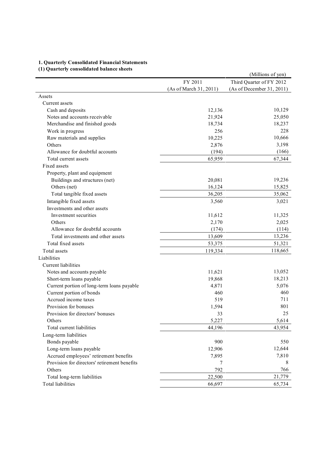## **1. Quarterly Consolidated Financial Statements**

# **(1) Quarterly consolidated balance sheets**

| (1) Quarterly consondated balance sheets     |                        | (Millions of yen)         |
|----------------------------------------------|------------------------|---------------------------|
|                                              | FY 2011                | Third Quarter of FY 2012  |
|                                              | (As of March 31, 2011) | (As of December 31, 2011) |
| Assets                                       |                        |                           |
| Current assets                               |                        |                           |
| Cash and deposits                            | 12,136                 | 10,129                    |
| Notes and accounts receivable                | 21,924                 | 25,050                    |
| Merchandise and finished goods               | 18,734                 | 18,237                    |
| Work in progress                             | 256                    | 228                       |
| Raw materials and supplies                   | 10,225                 | 10,666                    |
| Others                                       | 2,876                  | 3,198                     |
| Allowance for doubtful accounts              | (194)                  | (166)                     |
| Total current assets                         | 65,959                 | 67,344                    |
| Fixed assets                                 |                        |                           |
| Property, plant and equipment                |                        |                           |
| Buildings and structures (net)               | 20,081                 | 19,236                    |
| Others (net)                                 | 16,124                 | 15,825                    |
| Total tangible fixed assets                  | 36,205                 | 35,062                    |
| Intangible fixed assets                      | 3,560                  | 3,021                     |
| Investments and other assets                 |                        |                           |
| Investment securities                        | 11,612                 | 11,325                    |
| Others                                       | 2,170                  | 2,025                     |
| Allowance for doubtful accounts              | (174)                  | (114)                     |
| Total investments and other assets           | 13,609                 | 13,236                    |
| Total fixed assets                           | 53,375                 | 51,321                    |
| Total assets                                 | 119,334                | 118,665                   |
| Liabilities                                  |                        |                           |
| Current liabilities                          |                        |                           |
| Notes and accounts payable                   | 11,621                 | 13,052                    |
| Short-term loans payable                     | 19,868                 | 18,213                    |
| Current portion of long-term loans payable   | 4,871                  | 5,076                     |
| Current portion of bonds                     | 460                    | 460                       |
| Accrued income taxes                         | 519                    | 711                       |
| Provision for bonuses                        | 1,594                  | 801                       |
| Provision for directors' bonuses             | 33                     | 25                        |
| Others                                       | 5,227                  | 5,614                     |
| Total current liabilities                    | 44,196                 | 43,954                    |
| Long-term liabilities                        |                        |                           |
| Bonds payable                                | 900                    | 550                       |
| Long-term loans payable                      | 12,906                 | 12,644                    |
| Accrued employees' retirement benefits       | 7,895                  | 7,810                     |
| Provision for directors' retirement benefits | 7                      | 8                         |
| Others                                       | 792                    | 766                       |
| Total long-term liabilities                  | 22,500                 | 21,779                    |
| Total liabilities                            | 66,697                 | 65,734                    |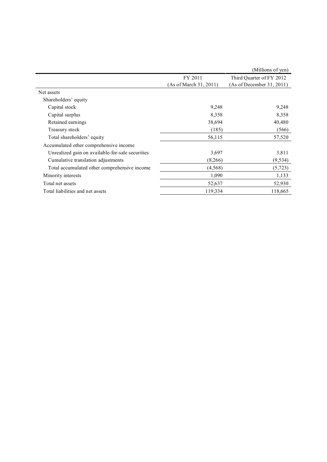|                        | (Millions of yen)         |
|------------------------|---------------------------|
| FY 2011                | Third Quarter of FY 2012  |
| (As of March 31, 2011) | (As of December 31, 2011) |
|                        |                           |
|                        |                           |
| 9,248                  | 9,248                     |
| 8,358                  | 8,358                     |
| 38,694                 | 40,480                    |
| (185)                  | (566)                     |
| 56,115                 | 57,520                    |
|                        |                           |
| 3,697                  | 3,811                     |
| (8,266)                | (9, 534)                  |
| (4, 568)               | (5, 723)                  |
| 1,090                  | 1,133                     |
| 52,637                 | 52,930                    |
| 119,334                | 118,665                   |
|                        |                           |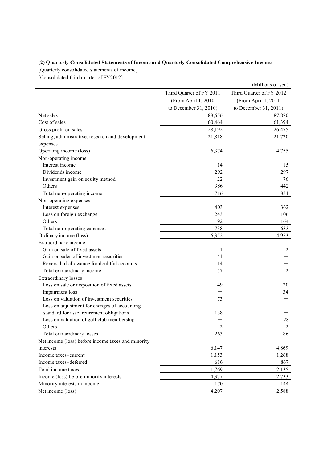### **(2) Quarterly Consolidated Statements of Income and Quarterly Consolidated Comprehensive Income**

[Quarterly consolidated statements of income]

[Consolidated third quarter of FY2012]

|                                                    |                          | (Millions of yen)        |  |
|----------------------------------------------------|--------------------------|--------------------------|--|
|                                                    | Third Quarter of FY 2011 | Third Quarter of FY 2012 |  |
|                                                    | (From April 1, 2010      | (From April 1, 2011      |  |
|                                                    | to December 31, 2010)    | to December 31, 2011)    |  |
| Net sales                                          | 88,656                   | 87,870                   |  |
| Cost of sales                                      | 60,464                   | 61,394                   |  |
| Gross profit on sales                              | 28,192                   | 26,475                   |  |
| Selling, administrative, research and development  | 21,818                   | 21,720                   |  |
| expenses                                           |                          |                          |  |
| Operating income (loss)                            | 6,374                    | 4,755                    |  |
| Non-operating income                               |                          |                          |  |
| Interest income                                    | 14                       | 15                       |  |
| Dividends income                                   | 292                      | 297                      |  |
| Investment gain on equity method                   | 22                       | 76                       |  |
| Others                                             | 386                      | 442                      |  |
| Total non-operating income                         | 716                      | 831                      |  |
| Non-operating expenses                             |                          |                          |  |
| Interest expenses                                  | 403                      | 362                      |  |
| Loss on foreign exchange                           | 243                      | 106                      |  |
| Others                                             | 92                       | 164                      |  |
| Total non-operating expenses                       | 738                      | 633                      |  |
| Ordinary income (loss)                             | 6,352                    | 4,953                    |  |
| Extraordinary income                               |                          |                          |  |
| Gain on sale of fixed assets                       | 1                        | $\overline{2}$           |  |
| Gain on sales of investment securities             | 41                       |                          |  |
| Reversal of allowance for doubtful accounts        | 14                       |                          |  |
| Total extraordinary income                         | 57                       | $\overline{c}$           |  |
| Extraordinary losses                               |                          |                          |  |
| Loss on sale or disposition of fixed assets        | 49                       | 20                       |  |
| Impairment loss                                    |                          | 34                       |  |
| Loss on valuation of investment securities         | 73                       |                          |  |
| Loss on adjustment for changes of accounting       |                          |                          |  |
| standard for asset retirement obligations          | 138                      |                          |  |
| Loss on valuation of golf club membership          |                          | 28                       |  |
| Others                                             | 2                        | $\overline{c}$           |  |
| Total extraordinary losses                         | 263                      | 86                       |  |
| Net income (loss) before income taxes and minority |                          |                          |  |
| interests                                          | 6,147                    | 4,869                    |  |
| Income taxes-current                               | 1,153                    | 1,268                    |  |
| Income taxes-deferred                              | 616                      | 867                      |  |
| Total income taxes                                 | 1,769                    | 2,135                    |  |
| Income (loss) before minority interests            | 4,377                    | 2,733                    |  |
| Minority interests in income                       | 170                      | 144                      |  |
| Net income (loss)                                  | 4,207                    | 2,588                    |  |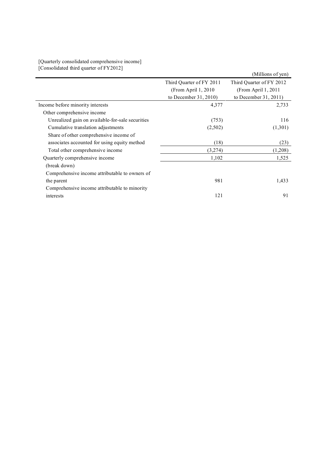#### [Quarterly consolidated comprehensive income] [Consolidated third quarter of FY2012]

|                                                  |                          | (Millions of yen)        |
|--------------------------------------------------|--------------------------|--------------------------|
|                                                  | Third Quarter of FY 2011 | Third Quarter of FY 2012 |
|                                                  | (From April $1, 2010$    | (From April 1, 2011      |
|                                                  | to December $31, 2010$   | to December 31, 2011)    |
| Income before minority interests                 | 4,377                    | 2,733                    |
| Other comprehensive income                       |                          |                          |
| Unrealized gain on available-for-sale securities | (753)                    | 116                      |
| Cumulative translation adjustments               | (2,502)                  | (1,301)                  |
| Share of other comprehensive income of           |                          |                          |
| associates accounted for using equity method     | (18)                     | (23)                     |
| Total other comprehensive income                 | (3,274)                  | (1,208)                  |
| Quarterly comprehensive income                   | 1,102                    | 1,525                    |
| (break down)                                     |                          |                          |
| Comprehensive income attributable to owners of   |                          |                          |
| the parent                                       | 981                      | 1,433                    |
| Comprehensive income attributable to minority    |                          |                          |
| interests                                        | 121                      | 91                       |
|                                                  |                          |                          |